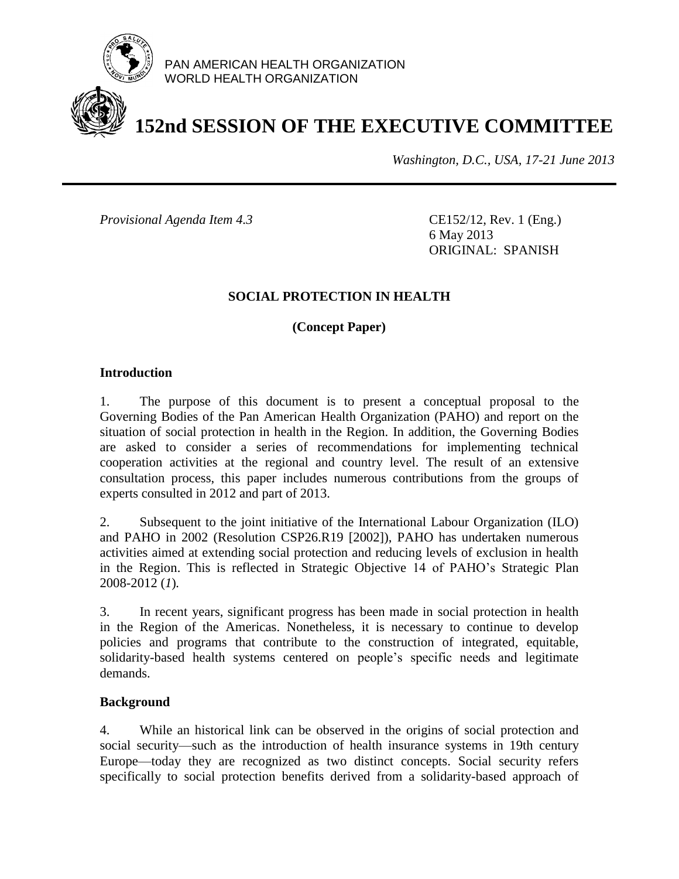

PAN AMERICAN HEALTH ORGANIZATION WORLD HEALTH ORGANIZATION

# **152nd SESSION OF THE EXECUTIVE COMMITTEE**

*Washington, D.C., USA, 17-21 June 2013*

*Provisional Agenda Item 4.3* CE152/12, Rev. 1 (Eng.)

6 May 2013 ORIGINAL: SPANISH

#### **SOCIAL PROTECTION IN HEALTH**

**(Concept Paper)**

#### **Introduction**

1. The purpose of this document is to present a conceptual proposal to the Governing Bodies of the Pan American Health Organization (PAHO) and report on the situation of social protection in health in the Region. In addition, the Governing Bodies are asked to consider a series of recommendations for implementing technical cooperation activities at the regional and country level. The result of an extensive consultation process, this paper includes numerous contributions from the groups of experts consulted in 2012 and part of 2013.

2. Subsequent to the joint initiative of the International Labour Organization (ILO) and PAHO in 2002 (Resolution CSP26.R19 [2002]), PAHO has undertaken numerous activities aimed at extending social protection and reducing levels of exclusion in health in the Region. This is reflected in Strategic Objective 14 of PAHO's Strategic Plan 2008-2012 (*1*)*.* 

3. In recent years, significant progress has been made in social protection in health in the Region of the Americas. Nonetheless, it is necessary to continue to develop policies and programs that contribute to the construction of integrated, equitable, solidarity-based health systems centered on people's specific needs and legitimate demands.

#### **Background**

4. While an historical link can be observed in the origins of social protection and social security—such as the introduction of health insurance systems in 19th century Europe—today they are recognized as two distinct concepts. Social security refers specifically to social protection benefits derived from a solidarity-based approach of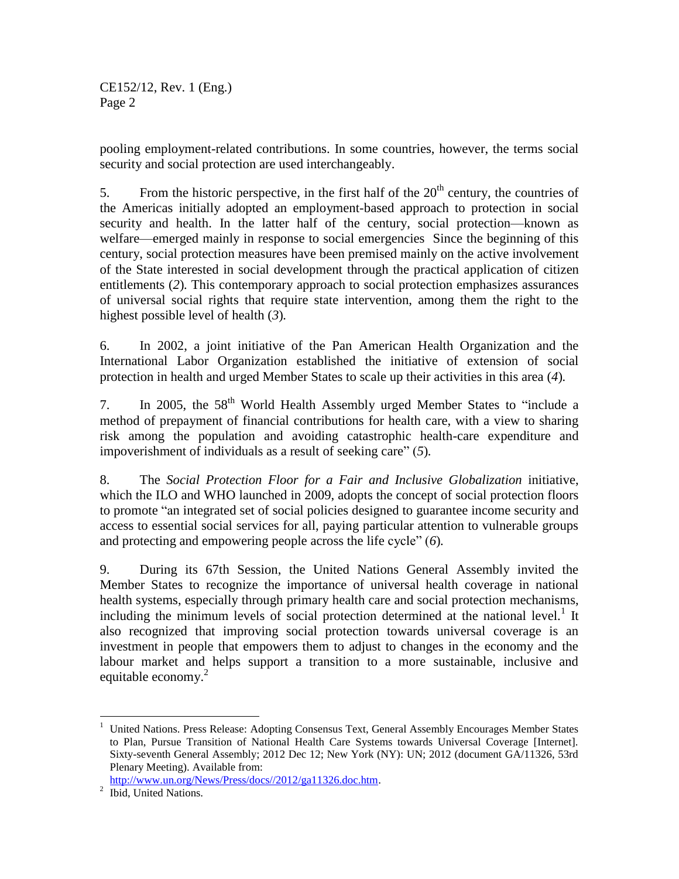pooling employment-related contributions. In some countries, however, the terms social security and social protection are used interchangeably.

5. From the historic perspective, in the first half of the  $20<sup>th</sup>$  century, the countries of the Americas initially adopted an employment-based approach to protection in social security and health. In the latter half of the century, social protection—known as welfare—emerged mainly in response to social emergencies Since the beginning of this century, social protection measures have been premised mainly on the active involvement of the State interested in social development through the practical application of citizen entitlements (*2*)*.* This contemporary approach to social protection emphasizes assurances of universal social rights that require state intervention, among them the right to the highest possible level of health (*3*)*.*

6. In 2002, a joint initiative of the Pan American Health Organization and the International Labor Organization established the initiative of extension of social protection in health and urged Member States to scale up their activities in this area (*4*)*.* 

7. In 2005, the 58<sup>th</sup> World Health Assembly urged Member States to "include a method of prepayment of financial contributions for health care, with a view to sharing risk among the population and avoiding catastrophic health-care expenditure and impoverishment of individuals as a result of seeking care" (*5*)*.*

8. The *Social Protection Floor for a Fair and Inclusive Globalization* initiative, which the ILO and WHO launched in 2009, adopts the concept of social protection floors to promote "an integrated set of social policies designed to guarantee income security and access to essential social services for all, paying particular attention to vulnerable groups and protecting and empowering people across the life cycle" (*6*)*.* 

9. During its 67th Session, the United Nations General Assembly invited the Member States to recognize the importance of universal health coverage in national health systems, especially through primary health care and social protection mechanisms, including the minimum levels of social protection determined at the national level.<sup>1</sup> It also recognized that improving social protection towards universal coverage is an investment in people that empowers them to adjust to changes in the economy and the labour market and helps support a transition to a more sustainable, inclusive and equitable economy.<sup>2</sup>

l

<sup>1</sup> United Nations. Press Release: Adopting Consensus Text, General Assembly Encourages Member States to Plan, Pursue Transition of National Health Care Systems towards Universal Coverage [Internet]. Sixty-seventh General Assembly; 2012 Dec 12; New York (NY): UN; 2012 (document GA/11326, 53rd Plenary Meeting). Available from:

[http://www.un.org/News/Press/docs//2012/ga11326.doc.htm.](http://www.un.org/News/Press/docs/2012/ga11326.doc.htm)

<sup>&</sup>lt;sup>2</sup> Ibid, United Nations.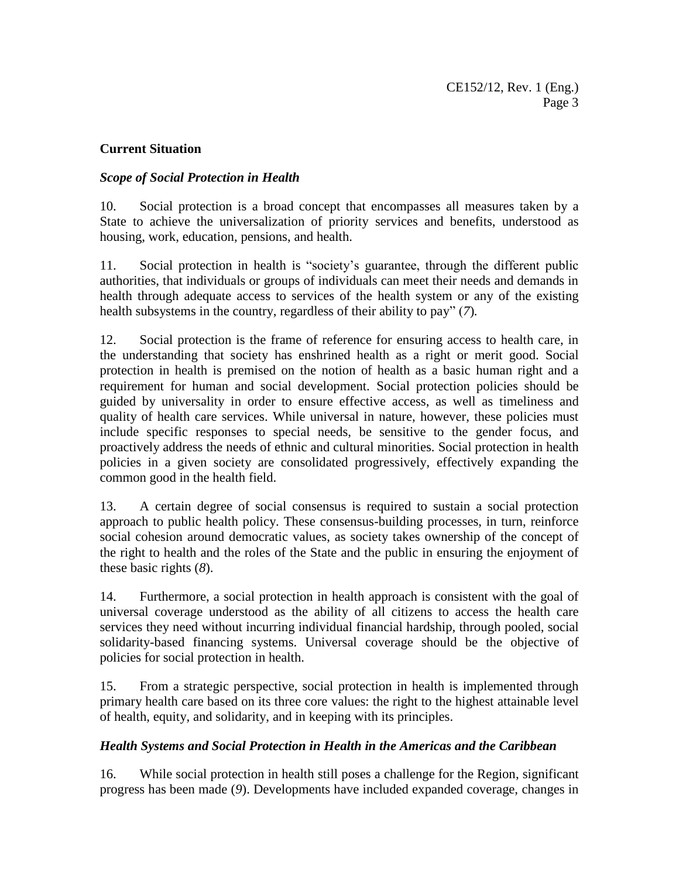## **Current Situation**

# *Scope of Social Protection in Health*

10. Social protection is a broad concept that encompasses all measures taken by a State to achieve the universalization of priority services and benefits, understood as housing, work, education, pensions, and health.

11. Social protection in health is "society's guarantee, through the different public authorities, that individuals or groups of individuals can meet their needs and demands in health through adequate access to services of the health system or any of the existing health subsystems in the country, regardless of their ability to pay" (*7*)*.* 

12. Social protection is the frame of reference for ensuring access to health care, in the understanding that society has enshrined health as a right or merit good. Social protection in health is premised on the notion of health as a basic human right and a requirement for human and social development. Social protection policies should be guided by universality in order to ensure effective access, as well as timeliness and quality of health care services. While universal in nature, however, these policies must include specific responses to special needs, be sensitive to the gender focus, and proactively address the needs of ethnic and cultural minorities. Social protection in health policies in a given society are consolidated progressively, effectively expanding the common good in the health field.

13. A certain degree of social consensus is required to sustain a social protection approach to public health policy. These consensus-building processes, in turn, reinforce social cohesion around democratic values, as society takes ownership of the concept of the right to health and the roles of the State and the public in ensuring the enjoyment of these basic rights (*8*).

14. Furthermore, a social protection in health approach is consistent with the goal of universal coverage understood as the ability of all citizens to access the health care services they need without incurring individual financial hardship, through pooled, social solidarity-based financing systems. Universal coverage should be the objective of policies for social protection in health.

15. From a strategic perspective, social protection in health is implemented through primary health care based on its three core values: the right to the highest attainable level of health, equity, and solidarity, and in keeping with its principles.

## *Health Systems and Social Protection in Health in the Americas and the Caribbean*

16. While social protection in health still poses a challenge for the Region, significant progress has been made (*9*). Developments have included expanded coverage, changes in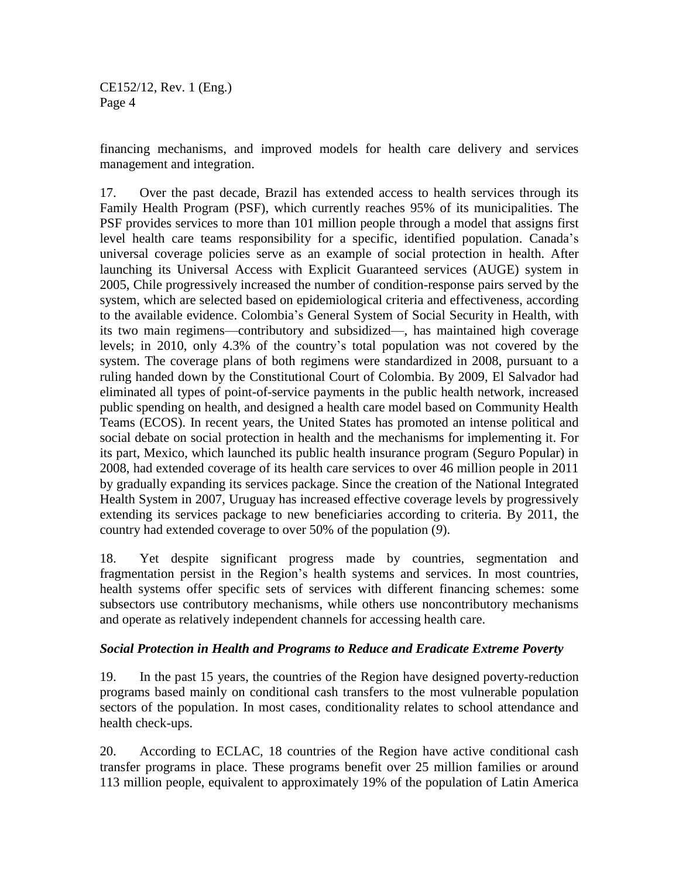financing mechanisms, and improved models for health care delivery and services management and integration.

17. Over the past decade, Brazil has extended access to health services through its Family Health Program (PSF), which currently reaches 95% of its municipalities. The PSF provides services to more than 101 million people through a model that assigns first level health care teams responsibility for a specific, identified population. Canada's universal coverage policies serve as an example of social protection in health. After launching its Universal Access with Explicit Guaranteed services (AUGE) system in 2005, Chile progressively increased the number of condition-response pairs served by the system, which are selected based on epidemiological criteria and effectiveness, according to the available evidence. Colombia's General System of Social Security in Health, with its two main regimens—contributory and subsidized—, has maintained high coverage levels; in 2010, only 4.3% of the country's total population was not covered by the system. The coverage plans of both regimens were standardized in 2008, pursuant to a ruling handed down by the Constitutional Court of Colombia. By 2009, El Salvador had eliminated all types of point-of-service payments in the public health network, increased public spending on health, and designed a health care model based on Community Health Teams (ECOS). In recent years, the United States has promoted an intense political and social debate on social protection in health and the mechanisms for implementing it. For its part, Mexico, which launched its public health insurance program (Seguro Popular) in 2008, had extended coverage of its health care services to over 46 million people in 2011 by gradually expanding its services package. Since the creation of the National Integrated Health System in 2007, Uruguay has increased effective coverage levels by progressively extending its services package to new beneficiaries according to criteria. By 2011, the country had extended coverage to over 50% of the population (*9*).

18. Yet despite significant progress made by countries, segmentation and fragmentation persist in the Region's health systems and services. In most countries, health systems offer specific sets of services with different financing schemes: some subsectors use contributory mechanisms, while others use noncontributory mechanisms and operate as relatively independent channels for accessing health care.

#### *Social Protection in Health and Programs to Reduce and Eradicate Extreme Poverty*

19. In the past 15 years, the countries of the Region have designed poverty-reduction programs based mainly on conditional cash transfers to the most vulnerable population sectors of the population. In most cases, conditionality relates to school attendance and health check-ups.

20. According to ECLAC, 18 countries of the Region have active conditional cash transfer programs in place. These programs benefit over 25 million families or around 113 million people, equivalent to approximately 19% of the population of Latin America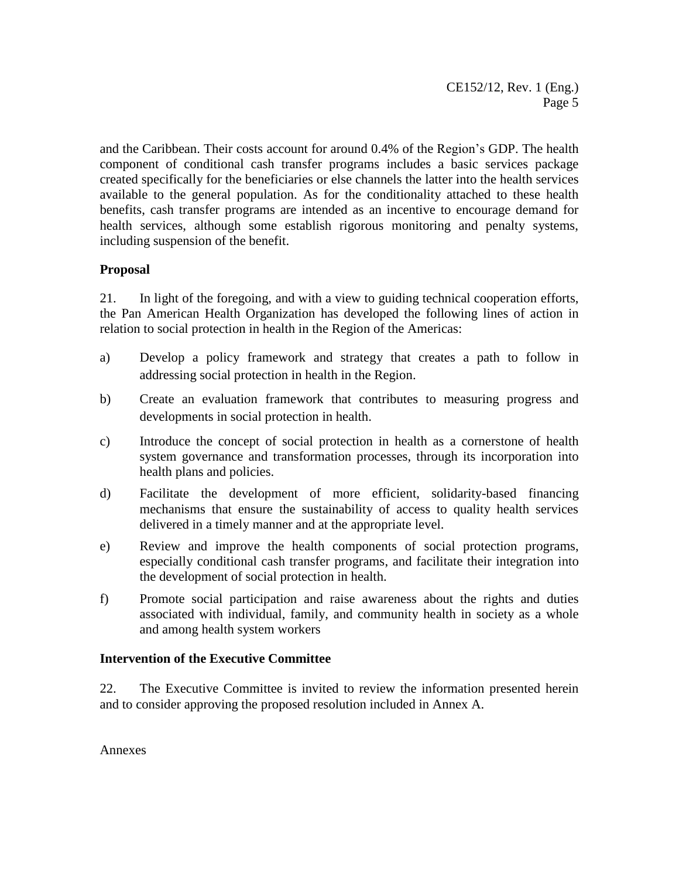and the Caribbean. Their costs account for around 0.4% of the Region's GDP. The health component of conditional cash transfer programs includes a basic services package created specifically for the beneficiaries or else channels the latter into the health services available to the general population. As for the conditionality attached to these health benefits, cash transfer programs are intended as an incentive to encourage demand for health services, although some establish rigorous monitoring and penalty systems, including suspension of the benefit.

## **Proposal**

21. In light of the foregoing, and with a view to guiding technical cooperation efforts, the Pan American Health Organization has developed the following lines of action in relation to social protection in health in the Region of the Americas:

- a) Develop a policy framework and strategy that creates a path to follow in addressing social protection in health in the Region.
- b) Create an evaluation framework that contributes to measuring progress and developments in social protection in health.
- c) Introduce the concept of social protection in health as a cornerstone of health system governance and transformation processes, through its incorporation into health plans and policies.
- d) Facilitate the development of more efficient, solidarity-based financing mechanisms that ensure the sustainability of access to quality health services delivered in a timely manner and at the appropriate level.
- e) Review and improve the health components of social protection programs, especially conditional cash transfer programs, and facilitate their integration into the development of social protection in health.
- f) Promote social participation and raise awareness about the rights and duties associated with individual, family, and community health in society as a whole and among health system workers

## **Intervention of the Executive Committee**

22. The Executive Committee is invited to review the information presented herein and to consider approving the proposed resolution included in Annex A.

Annexes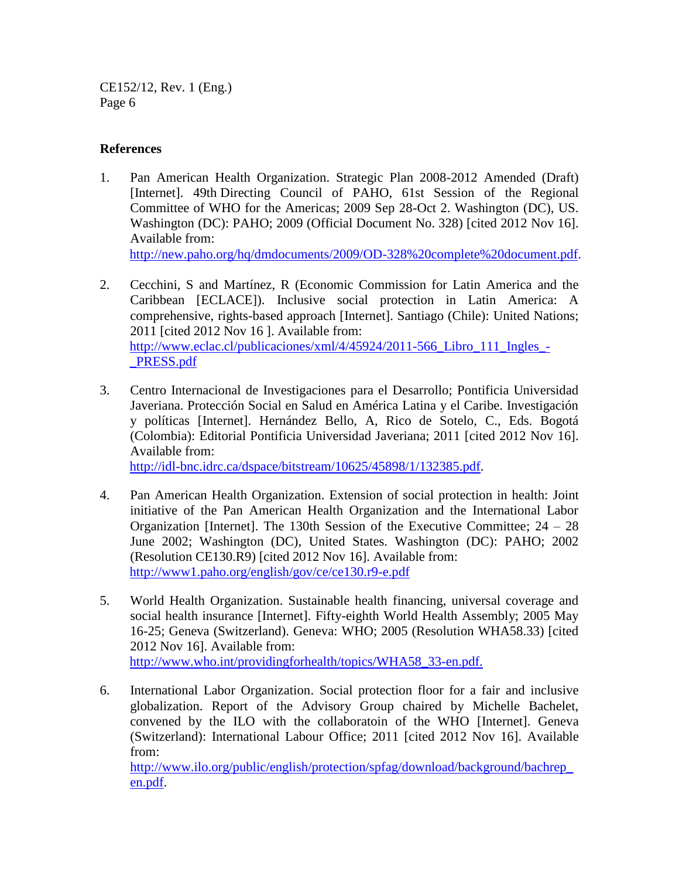#### **References**

- 1. Pan American Health Organization. Strategic Plan 2008-2012 Amended (Draft) [Internet]. 49th Directing Council of PAHO, 61st Session of the Regional Committee of WHO for the Americas; 2009 Sep 28-Oct 2. Washington (DC), US. Washington (DC): PAHO; 2009 (Official Document No. 328) [cited 2012 Nov 16]. Available from: [http://new.paho.org/hq/dmdocuments/2009/OD-328%20complete%20document.pdf.](http://new.paho.org/hq/dmdocuments/2009/OD-328%20complete%20document.pdf)
- 2. Cecchini, S and Martínez, R (Economic Commission for Latin America and the Caribbean [ECLACE]). Inclusive social protection in Latin America: A comprehensive, rights-based approach [Internet]. Santiago (Chile): United Nations; 2011 [cited 2012 Nov 16 ]. Available from: [http://www.eclac.cl/publicaciones/xml/4/45924/2011-566\\_Libro\\_111\\_Ingles\\_-](http://www.eclac.cl/publicaciones/xml/4/45924/2011-566_Libro_111_Ingles_-_PRESS.pdf) [\\_PRESS.pdf](http://www.eclac.cl/publicaciones/xml/4/45924/2011-566_Libro_111_Ingles_-_PRESS.pdf)
- 3. Centro Internacional de Investigaciones para el Desarrollo; Pontificia Universidad Javeriana. Protección Social en Salud en América Latina y el Caribe. Investigación y políticas [Internet]. Hernández Bello, A, Rico de Sotelo, C., Eds. Bogotá (Colombia): Editorial Pontificia Universidad Javeriana; 2011 [cited 2012 Nov 16]. Available from:

[http://idl-bnc.idrc.ca/dspace/bitstream/10625/45898/1/132385.pdf.](http://idl-bnc.idrc.ca/dspace/bitstream/10625/45898/1/132385.pdf)

- 4. Pan American Health Organization. Extension of social protection in health: Joint initiative of the Pan American Health Organization and the International Labor Organization [Internet]. The 130th Session of the Executive Committee; 24 – 28 June 2002; Washington (DC), United States. Washington (DC): PAHO; 2002 (Resolution CE130.R9) [cited 2012 Nov 16]. Available from: http://www1.paho.org/english/gov/ce/ce130.r9-e.pdf
- 5. World Health Organization. Sustainable health financing, universal coverage and social health insurance [Internet]. Fifty-eighth World Health Assembly; 2005 May 16-25; Geneva (Switzerland). Geneva: WHO; 2005 (Resolution WHA58.33) [cited 2012 Nov 16]. Available from: http://www.who.int/providingforhealth/topics/WHA58\_33-en.pdf.
- 6. International Labor Organization. Social protection floor for a fair and inclusive globalization. Report of the Advisory Group chaired by Michelle Bachelet, convened by the ILO with the collaboratoin of the WHO [Internet]. Geneva (Switzerland): International Labour Office; 2011 [cited 2012 Nov 16]. Available from:

[http://www.ilo.org/public/english/protection/spfag/download/background/bachrep\\_](http://www.ilo.org/public/english/protection/spfag/download/background/bachrep_en.pdf) [en.pdf.](http://www.ilo.org/public/english/protection/spfag/download/background/bachrep_en.pdf)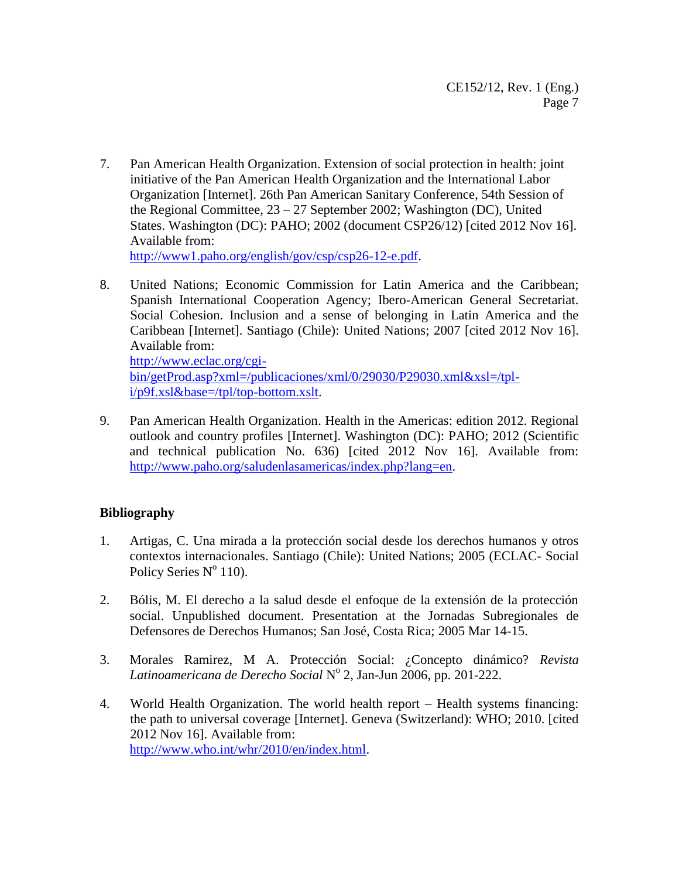7. Pan American Health Organization. Extension of social protection in health: joint initiative of the Pan American Health Organization and the International Labor Organization [Internet]. 26th Pan American Sanitary Conference, 54th Session of the Regional Committee, 23 – 27 September 2002; Washington (DC), United States. Washington (DC): PAHO; 2002 (document CSP26/12) [cited 2012 Nov 16]. Available from:

[http://www1.paho.org/english/gov/csp/csp26-12-e.pdf.](http://www1.paho.org/english/gov/csp/csp26-12-e.pdf)

8. United Nations; Economic Commission for Latin America and the Caribbean; Spanish International Cooperation Agency; Ibero-American General Secretariat. Social Cohesion. Inclusion and a sense of belonging in Latin America and the Caribbean [Internet]. Santiago (Chile): United Nations; 2007 [cited 2012 Nov 16]. Available from: [http://www.eclac.org/cgi-](http://www.eclac.org/cgi-bin/getProd.asp?xml=/publicaciones/xml/0/29030/P29030.xml&xsl=/tpl-i/p9f.xsl&base=/tpl/top-bottom.xslt)

[bin/getProd.asp?xml=/publicaciones/xml/0/29030/P29030.xml&xsl=/tpl](http://www.eclac.org/cgi-bin/getProd.asp?xml=/publicaciones/xml/0/29030/P29030.xml&xsl=/tpl-i/p9f.xsl&base=/tpl/top-bottom.xslt)[i/p9f.xsl&base=/tpl/top-bottom.xslt.](http://www.eclac.org/cgi-bin/getProd.asp?xml=/publicaciones/xml/0/29030/P29030.xml&xsl=/tpl-i/p9f.xsl&base=/tpl/top-bottom.xslt)

9. Pan American Health Organization. Health in the Americas: edition 2012. Regional outlook and country profiles [Internet]. Washington (DC): PAHO; 2012 (Scientific and technical publication No. 636) [cited 2012 Nov 16]. Available from: [http://www.paho.org/saludenlasamericas/index.php?lang=en.](http://www.paho.org/saludenlasamericas/index.php?lang=en)

## **Bibliography**

- 1. Artigas, C. Una mirada a la protección social desde los derechos humanos y otros contextos internacionales. Santiago (Chile): United Nations; 2005 (ECLAC- Social Policy Series N° 110).
- 2. Bólis, M. El derecho a la salud desde el enfoque de la extensión de la protección social. Unpublished document. Presentation at the Jornadas Subregionales de Defensores de Derechos Humanos; San José, Costa Rica; 2005 Mar 14-15.
- 3. Morales Ramirez, M A. Protección Social: ¿Concepto dinámico? *Revista Latinoamericana de Derecho Social* N o 2, Jan-Jun 2006, pp. 201-222.
- 4. World Health Organization. The world health report Health systems financing: the path to universal coverage [Internet]. Geneva (Switzerland): WHO; 2010. [cited 2012 Nov 16]. Available from: [http://www.who.int/whr/2010/en/index.html.](http://www.who.int/whr/2010/en/index.html)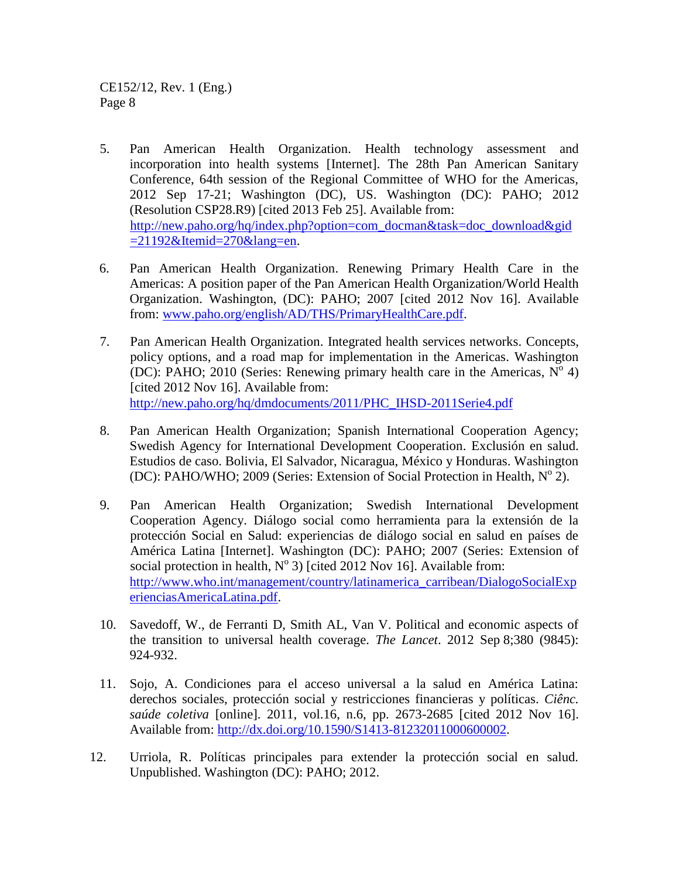- 5. Pan American Health Organization. Health technology assessment and incorporation into health systems [Internet]. The 28th Pan American Sanitary Conference, 64th session of the Regional Committee of WHO for the Americas, 2012 Sep 17-21; Washington (DC), US. Washington (DC): PAHO; 2012 (Resolution CSP28.R9) [cited 2013 Feb 25]. Available from: [http://new.paho.org/hq/index.php?option=com\\_docman&task=doc\\_download&gid](http://new.paho.org/hq/index.php?option=com_docman&task=doc_download&gid=21192&Itemid=270&lang=en)  $=21192\&$ Itemid=270 $\&$ lang=en.
- 6. Pan American Health Organization. Renewing Primary Health Care in the Americas: A position paper of the Pan American Health Organization/World Health Organization. Washington, (DC): PAHO; 2007 [cited 2012 Nov 16]. Available from: [www.paho.org/english/AD/THS/PrimaryHealthCare.pdf.](http://www.paho.org/english/AD/THS/PrimaryHealthCare.pdf)
- 7. Pan American Health Organization. Integrated health services networks. Concepts, policy options, and a road map for implementation in the Americas. Washington (DC): PAHO; 2010 (Series: Renewing primary health care in the Americas,  $N^{\circ}$  4) [cited 2012 Nov 16]. Available from: [http://new.paho.org/hq/dmdocuments/2011/PHC\\_IHSD-2011Serie4.pdf](http://new.paho.org/hq/dmdocuments/2011/PHC_IHSD-2011Serie4.pdf)
- 8. Pan American Health Organization; Spanish International Cooperation Agency; Swedish Agency for International Development Cooperation. Exclusión en salud. Estudios de caso. Bolivia, El Salvador, Nicaragua, México y Honduras. Washington (DC): PAHO/WHO; 2009 (Series: Extension of Social Protection in Health,  $N^{\circ}$  2).
- 9. Pan American Health Organization; Swedish International Development Cooperation Agency. Diálogo social como herramienta para la extensión de la protección Social en Salud: experiencias de diálogo social en salud en países de América Latina [Internet]. Washington (DC): PAHO; 2007 (Series: Extension of social protection in health,  $N^{\circ}$  3) [cited 2012 Nov 16]. Available from: [http://www.who.int/management/country/latinamerica\\_carribean/DialogoSocialExp](http://www.who.int/management/country/latinamerica_carribean/DialogoSocialExperienciasAmericaLatina.pdf) [erienciasAmericaLatina.pdf.](http://www.who.int/management/country/latinamerica_carribean/DialogoSocialExperienciasAmericaLatina.pdf)
- 10. Savedoff, W., de Ferranti D, Smith AL, Van V. Political and economic aspects of the transition to universal health coverage. *The Lancet*. 2012 Sep 8;380 (9845): 924-932.
- 11. Sojo, A. Condiciones para el acceso universal a la salud en América Latina: derechos sociales, protección social y restricciones financieras y políticas. *Ciênc. saúde coletiva* [online]. 2011, vol.16, n.6, pp. 2673-2685 [cited 2012 Nov 16]. Available from: [http://dx.doi.org/10.1590/S1413-81232011000600002.](http://dx.doi.org/10.1590/S1413-81232011000600002)
- 12. Urriola, R. Políticas principales para extender la protección social en salud. Unpublished. Washington (DC): PAHO; 2012.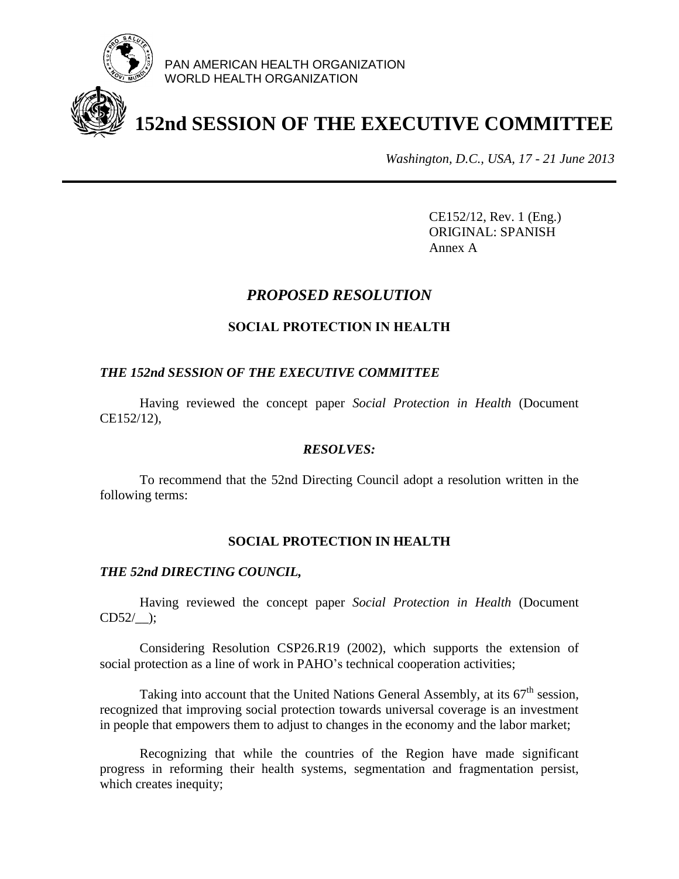

PAN AMERICAN HEALTH ORGANIZATION WORLD HEALTH ORGANIZATION

# **152nd SESSION OF THE EXECUTIVE COMMITTEE**

*Washington, D.C., USA, 17 - 21 June 2013*

CE152/12, Rev. 1 (Eng.) ORIGINAL: SPANISH Annex A

# *PROPOSED RESOLUTION*

## **SOCIAL PROTECTION IN HEALTH**

#### *THE 152nd SESSION OF THE EXECUTIVE COMMITTEE*

Having reviewed the concept paper *Social Protection in Health* (Document CE152/12),

#### *RESOLVES:*

To recommend that the 52nd Directing Council adopt a resolution written in the following terms:

## **SOCIAL PROTECTION IN HEALTH**

#### *THE 52nd DIRECTING COUNCIL,*

Having reviewed the concept paper *Social Protection in Health* (Document CD52/\_\_);

Considering Resolution CSP26.R19 (2002), which supports the extension of social protection as a line of work in PAHO's technical cooperation activities;

Taking into account that the United Nations General Assembly, at its  $67<sup>th</sup>$  session, recognized that improving social protection towards universal coverage is an investment in people that empowers them to adjust to changes in the economy and the labor market;

Recognizing that while the countries of the Region have made significant progress in reforming their health systems, segmentation and fragmentation persist, which creates inequity;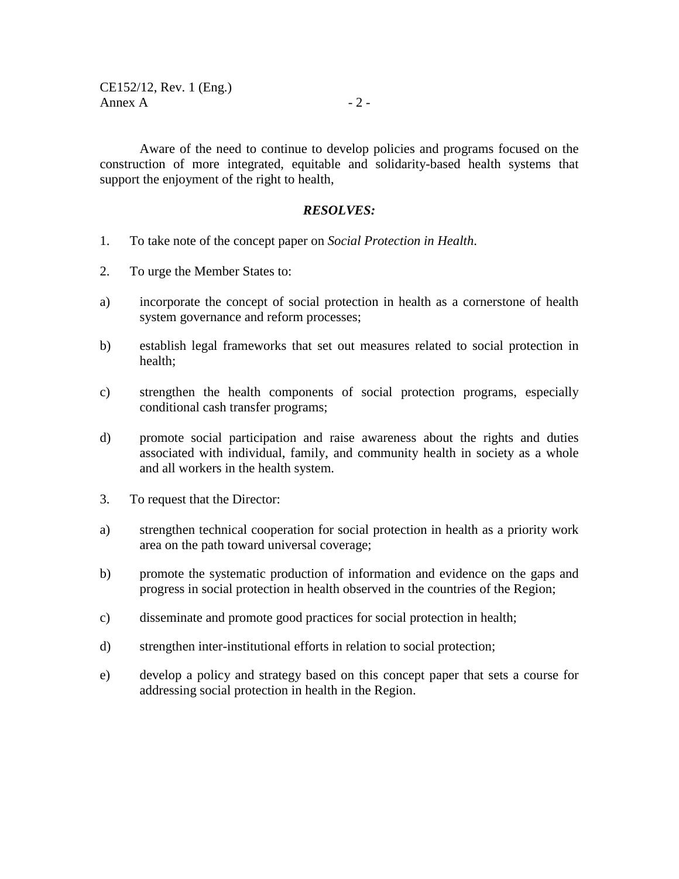Aware of the need to continue to develop policies and programs focused on the construction of more integrated, equitable and solidarity-based health systems that support the enjoyment of the right to health,

#### *RESOLVES:*

- 1. To take note of the concept paper on *Social Protection in Health*.
- 2. To urge the Member States to:
- a) incorporate the concept of social protection in health as a cornerstone of health system governance and reform processes;
- b) establish legal frameworks that set out measures related to social protection in health;
- c) strengthen the health components of social protection programs, especially conditional cash transfer programs;
- d) promote social participation and raise awareness about the rights and duties associated with individual, family, and community health in society as a whole and all workers in the health system.
- 3. To request that the Director:
- a) strengthen technical cooperation for social protection in health as a priority work area on the path toward universal coverage;
- b) promote the systematic production of information and evidence on the gaps and progress in social protection in health observed in the countries of the Region;
- c) disseminate and promote good practices for social protection in health;
- d) strengthen inter-institutional efforts in relation to social protection;
- e) develop a policy and strategy based on this concept paper that sets a course for addressing social protection in health in the Region.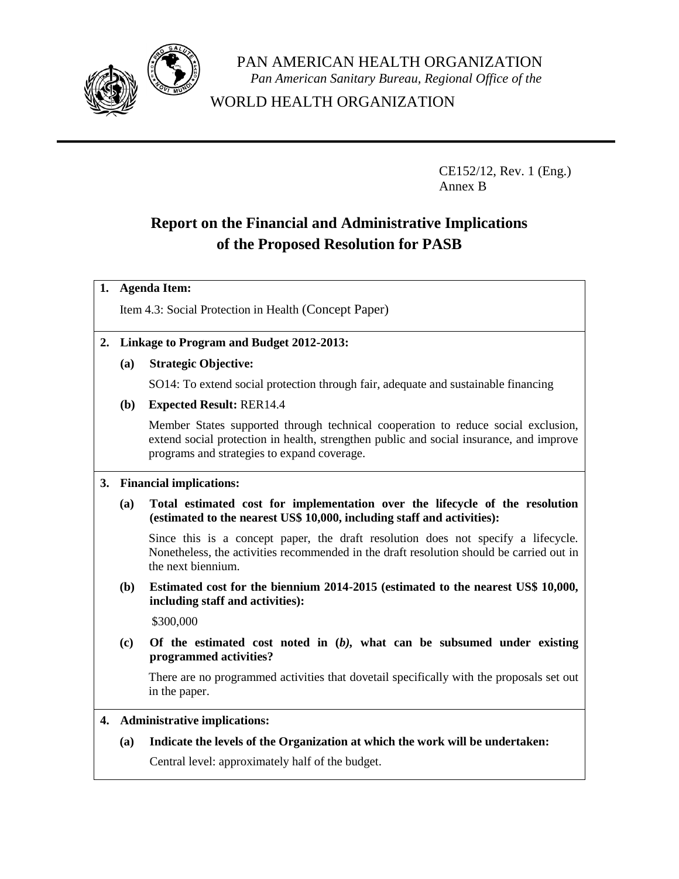

PAN AMERICAN HEALTH ORGANIZATION *Pan American Sanitary Bureau, Regional Office of the*

WORLD HEALTH ORGANIZATION

CE152/12, Rev. 1 (Eng.) Annex B

# **Report on the Financial and Administrative Implications of the Proposed Resolution for PASB**

#### **1. Agenda Item:**

Item 4.3: Social Protection in Health (Concept Paper)

#### **2. Linkage to Program and Budget 2012-2013:**

**(a) Strategic Objective:**

SO14: To extend social protection through fair, adequate and sustainable financing

**(b) Expected Result:** RER14.4

Member States supported through technical cooperation to reduce social exclusion, extend social protection in health, strengthen public and social insurance, and improve programs and strategies to expand coverage.

#### **3. Financial implications:**

**(a) Total estimated cost for implementation over the lifecycle of the resolution (estimated to the nearest US\$ 10,000, including staff and activities):**

Since this is a concept paper, the draft resolution does not specify a lifecycle. Nonetheless, the activities recommended in the draft resolution should be carried out in the next biennium.

**(b) Estimated cost for the biennium 2014-2015 (estimated to the nearest US\$ 10,000, including staff and activities):**

\$300,000

**(c) Of the estimated cost noted in (***b),* **what can be subsumed under existing programmed activities?** 

There are no programmed activities that dovetail specifically with the proposals set out in the paper.

**4. Administrative implications:**

**(a) Indicate the levels of the Organization at which the work will be undertaken:**

Central level: approximately half of the budget.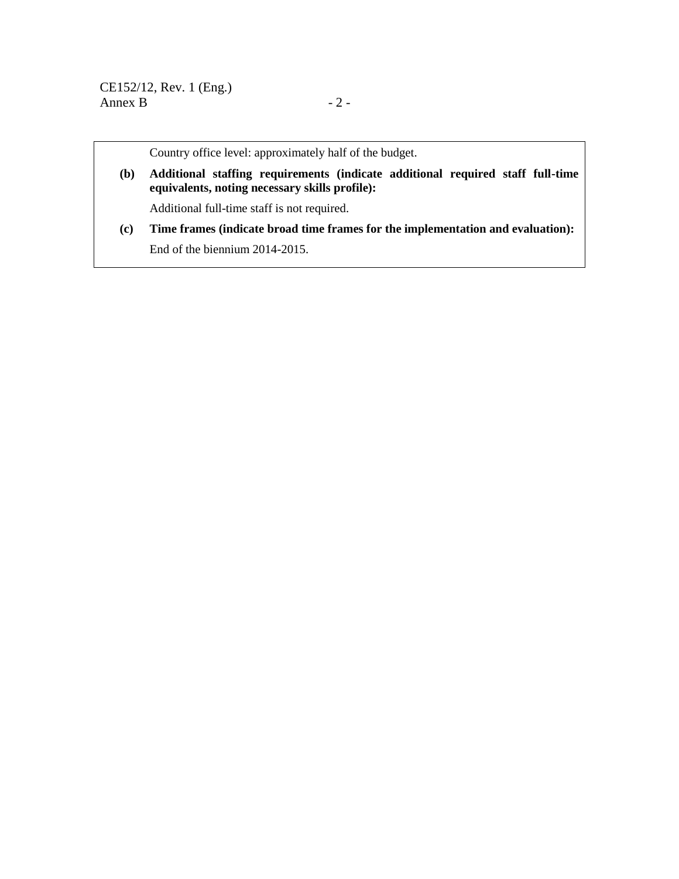Country office level: approximately half of the budget.

**(b) Additional staffing requirements (indicate additional required staff full-time equivalents, noting necessary skills profile):** 

Additional full-time staff is not required.

**(c) Time frames (indicate broad time frames for the implementation and evaluation):** End of the biennium 2014-2015.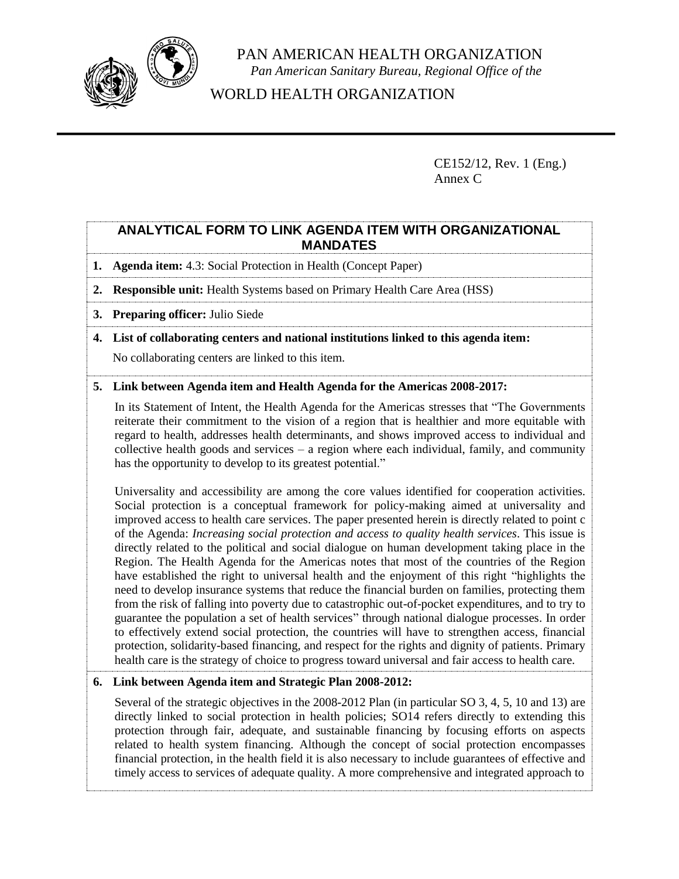

PAN AMERICAN HEALTH ORGANIZATION *Pan American Sanitary Bureau, Regional Office of the*

WORLD HEALTH ORGANIZATION

CE152/12, Rev. 1 (Eng.) Annex C

## **ANALYTICAL FORM TO LINK AGENDA ITEM WITH ORGANIZATIONAL MANDATES**

- **1. Agenda item:** 4.3: Social Protection in Health (Concept Paper)
- **2. Responsible unit:** Health Systems based on Primary Health Care Area (HSS)
- **3. Preparing officer:** Julio Siede
- **4. List of collaborating centers and national institutions linked to this agenda item:**

No collaborating centers are linked to this item.

#### **5. Link between Agenda item and Health Agenda for the Americas 2008-2017:**

In its Statement of Intent, the Health Agenda for the Americas stresses that "The Governments reiterate their commitment to the vision of a region that is healthier and more equitable with regard to health, addresses health determinants, and shows improved access to individual and collective health goods and services – a region where each individual, family, and community has the opportunity to develop to its greatest potential."

Universality and accessibility are among the core values identified for cooperation activities. Social protection is a conceptual framework for policy-making aimed at universality and improved access to health care services. The paper presented herein is directly related to point c of the Agenda: *Increasing social protection and access to quality health services*. This issue is directly related to the political and social dialogue on human development taking place in the Region. The Health Agenda for the Americas notes that most of the countries of the Region have established the right to universal health and the enjoyment of this right "highlights the need to develop insurance systems that reduce the financial burden on families, protecting them from the risk of falling into poverty due to catastrophic out-of-pocket expenditures, and to try to guarantee the population a set of health services" through national dialogue processes. In order to effectively extend social protection, the countries will have to strengthen access, financial protection, solidarity-based financing, and respect for the rights and dignity of patients. Primary health care is the strategy of choice to progress toward universal and fair access to health care.

#### **6. Link between Agenda item and Strategic Plan 2008-2012:**

Several of the strategic objectives in the 2008-2012 Plan (in particular SO 3, 4, 5, 10 and 13) are directly linked to social protection in health policies; SO14 refers directly to extending this protection through fair, adequate, and sustainable financing by focusing efforts on aspects related to health system financing. Although the concept of social protection encompasses financial protection, in the health field it is also necessary to include guarantees of effective and timely access to services of adequate quality. A more comprehensive and integrated approach to